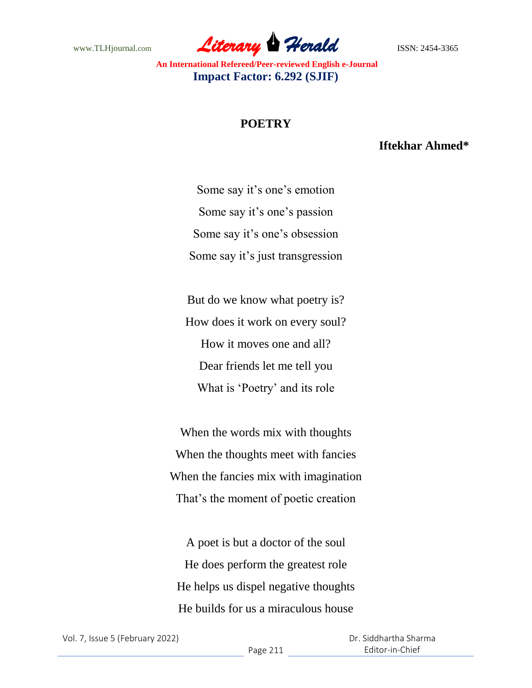www.TLHjournal.com **Literary Herald Herald ISSN: 2454-3365** 

## **POETRY**

## **Iftekhar Ahmed\***

Some say it's one's emotion Some say it's one's passion Some say it's one's obsession Some say it's just transgression

But do we know what poetry is? How does it work on every soul? How it moves one and all? Dear friends let me tell you What is 'Poetry' and its role

When the words mix with thoughts When the thoughts meet with fancies When the fancies mix with imagination That's the moment of poetic creation

A poet is but a doctor of the soul He does perform the greatest role He helps us dispel negative thoughts He builds for us a miraculous house

 Dr. Siddhartha Sharma Editor-in-Chief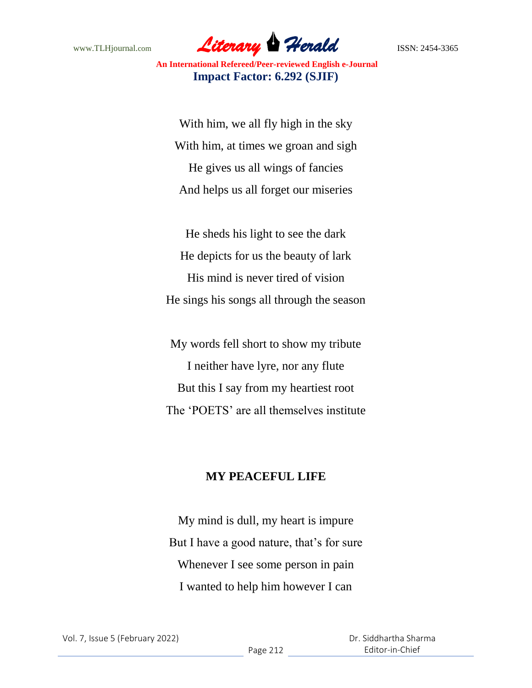www.TLHjournal.com **Literary Herald Herald ISSN: 2454-3365** 

With him, we all fly high in the sky With him, at times we groan and sigh He gives us all wings of fancies And helps us all forget our miseries

He sheds his light to see the dark He depicts for us the beauty of lark His mind is never tired of vision He sings his songs all through the season

My words fell short to show my tribute I neither have lyre, nor any flute But this I say from my heartiest root The 'POETS' are all themselves institute

## **MY PEACEFUL LIFE**

My mind is dull, my heart is impure But I have a good nature, that's for sure Whenever I see some person in pain I wanted to help him however I can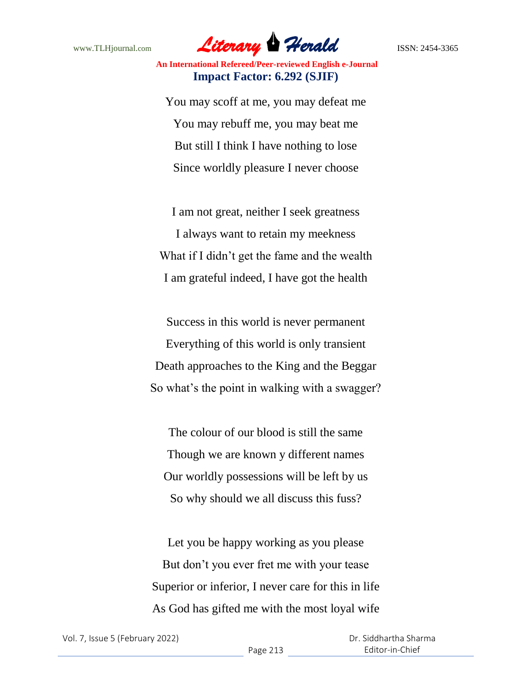

You may scoff at me, you may defeat me You may rebuff me, you may beat me But still I think I have nothing to lose Since worldly pleasure I never choose

I am not great, neither I seek greatness I always want to retain my meekness What if I didn't get the fame and the wealth I am grateful indeed, I have got the health

Success in this world is never permanent Everything of this world is only transient Death approaches to the King and the Beggar So what's the point in walking with a swagger?

The colour of our blood is still the same Though we are known y different names Our worldly possessions will be left by us So why should we all discuss this fuss?

Let you be happy working as you please But don't you ever fret me with your tease Superior or inferior, I never care for this in life As God has gifted me with the most loyal wife

 Dr. Siddhartha Sharma Editor-in-Chief